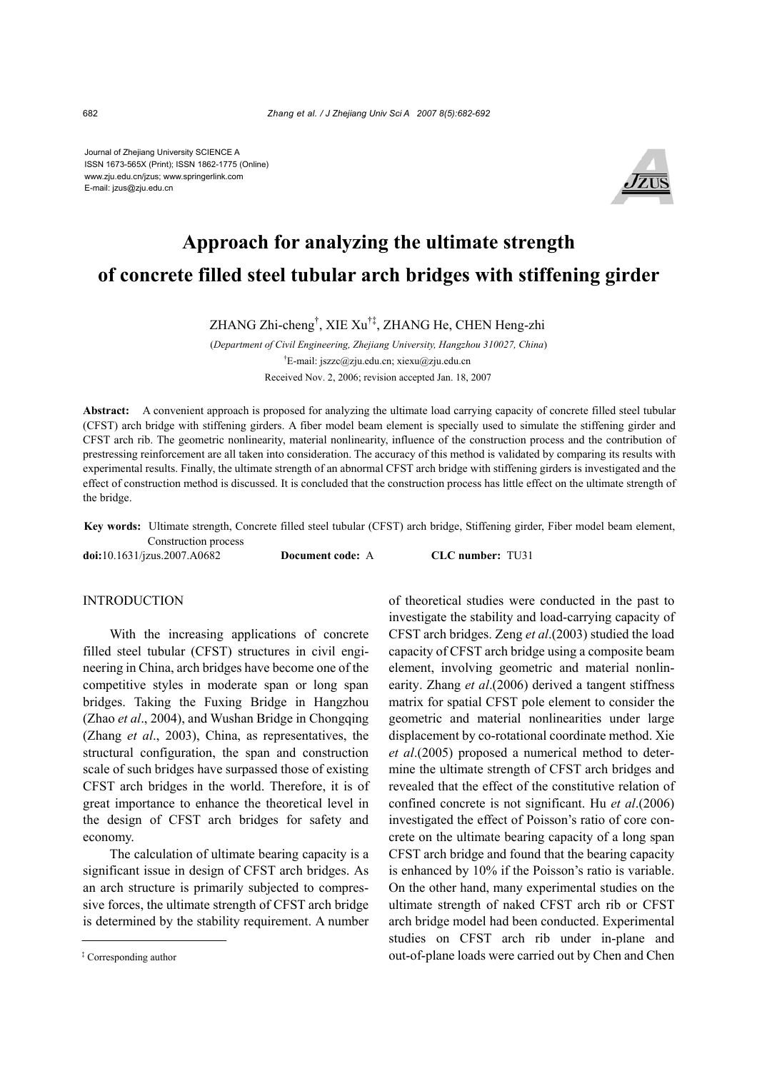Journal of Zhejiang University SCIENCE A ISSN 1673-565X (Print); ISSN 1862-1775 (Online) www.zju.edu.cn/jzus; www.springerlink.com E-mail: jzus@zju.edu.cn



# **Approach for analyzing the ultimate strength of concrete filled steel tubular arch bridges with stiffening girder**

ZHANG Zhi-cheng† , XIE Xu†‡, ZHANG He, CHEN Heng-zhi

(*Department of Civil Engineering, Zhejiang University, Hangzhou 310027, China*) † E-mail: jszzc@zju.edu.cn; xiexu@zju.edu.cn Received Nov. 2, 2006; revision accepted Jan. 18, 2007

**Abstract:** A convenient approach is proposed for analyzing the ultimate load carrying capacity of concrete filled steel tubular (CFST) arch bridge with stiffening girders. A fiber model beam element is specially used to simulate the stiffening girder and CFST arch rib. The geometric nonlinearity, material nonlinearity, influence of the construction process and the contribution of prestressing reinforcement are all taken into consideration. The accuracy of this method is validated by comparing its results with experimental results. Finally, the ultimate strength of an abnormal CFST arch bridge with stiffening girders is investigated and the effect of construction method is discussed. It is concluded that the construction process has little effect on the ultimate strength of the bridge.

**Key words:** Ultimate strength, Concrete filled steel tubular (CFST) arch bridge, Stiffening girder, Fiber model beam element, Construction process

**doi:**10.1631/jzus.2007.A0682 **Document code:** A **CLC number:** TU31

### **INTRODUCTION**

With the increasing applications of concrete filled steel tubular (CFST) structures in civil engineering in China, arch bridges have become one of the competitive styles in moderate span or long span bridges. Taking the Fuxing Bridge in Hangzhou (Zhao *et al*., 2004), and Wushan Bridge in Chongqing (Zhang *et al*., 2003), China, as representatives, the structural configuration, the span and construction scale of such bridges have surpassed those of existing CFST arch bridges in the world. Therefore, it is of great importance to enhance the theoretical level in the design of CFST arch bridges for safety and economy.

The calculation of ultimate bearing capacity is a significant issue in design of CFST arch bridges. As an arch structure is primarily subjected to compressive forces, the ultimate strength of CFST arch bridge is determined by the stability requirement. A number

of theoretical studies were conducted in the past to investigate the stability and load-carrying capacity of CFST arch bridges. Zeng *et al*.(2003) studied the load capacity of CFST arch bridge using a composite beam element, involving geometric and material nonlinearity. Zhang *et al*.(2006) derived a tangent stiffness matrix for spatial CFST pole element to consider the geometric and material nonlinearities under large displacement by co-rotational coordinate method. Xie *et al*.(2005) proposed a numerical method to determine the ultimate strength of CFST arch bridges and revealed that the effect of the constitutive relation of confined concrete is not significant. Hu *et al*.(2006) investigated the effect of Poisson's ratio of core concrete on the ultimate bearing capacity of a long span CFST arch bridge and found that the bearing capacity is enhanced by 10% if the Poisson's ratio is variable. On the other hand, many experimental studies on the ultimate strength of naked CFST arch rib or CFST arch bridge model had been conducted. Experimental studies on CFST arch rib under in-plane and out-of-plane loads were carried out by Chen and Chen

<sup>‡</sup> Corresponding author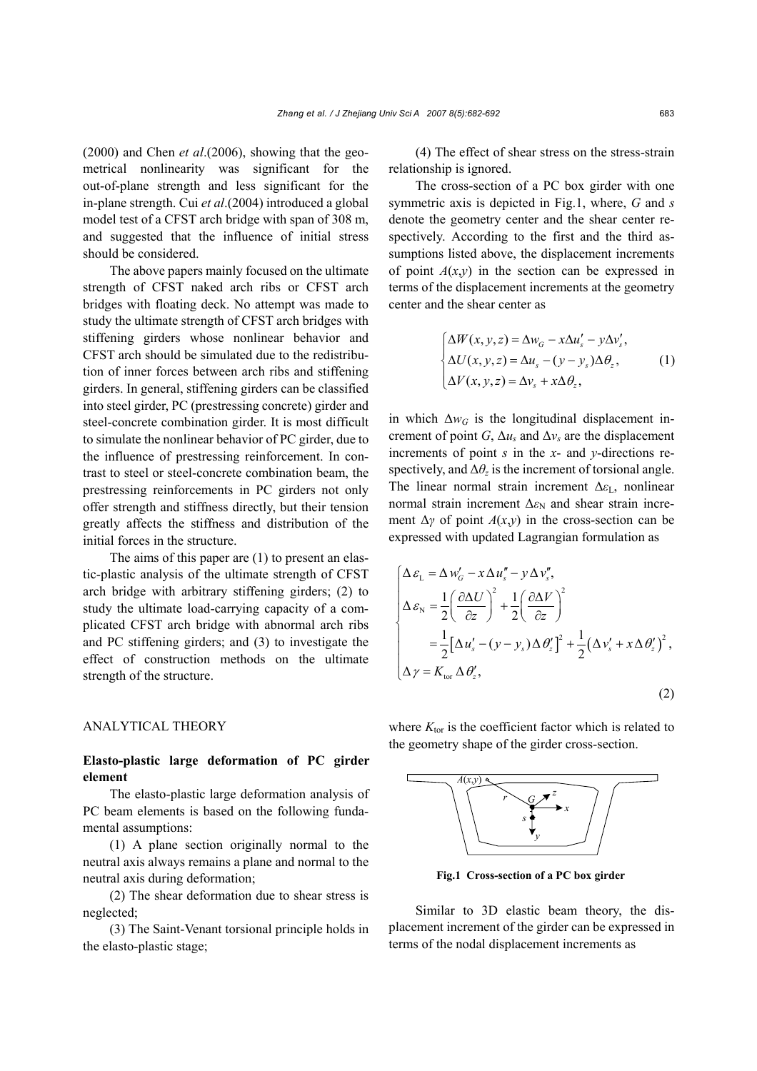(2000) and Chen *et al*.(2006), showing that the geometrical nonlinearity was significant for the out-of-plane strength and less significant for the in-plane strength. Cui *et al*.(2004) introduced a global model test of a CFST arch bridge with span of 308 m, and suggested that the influence of initial stress should be considered.

The above papers mainly focused on the ultimate strength of CFST naked arch ribs or CFST arch bridges with floating deck. No attempt was made to study the ultimate strength of CFST arch bridges with stiffening girders whose nonlinear behavior and CFST arch should be simulated due to the redistribution of inner forces between arch ribs and stiffening girders. In general, stiffening girders can be classified into steel girder, PC (prestressing concrete) girder and steel-concrete combination girder. It is most difficult to simulate the nonlinear behavior of PC girder, due to the influence of prestressing reinforcement. In contrast to steel or steel-concrete combination beam, the prestressing reinforcements in PC girders not only offer strength and stiffness directly, but their tension greatly affects the stiffness and distribution of the initial forces in the structure.

The aims of this paper are (1) to present an elastic-plastic analysis of the ultimate strength of CFST arch bridge with arbitrary stiffening girders; (2) to study the ultimate load-carrying capacity of a complicated CFST arch bridge with abnormal arch ribs and PC stiffening girders; and (3) to investigate the effect of construction methods on the ultimate strength of the structure.

## ANALYTICAL THEORY

# **Elasto-plastic large deformation of PC girder element**

The elasto-plastic large deformation analysis of PC beam elements is based on the following fundamental assumptions:

(1) A plane section originally normal to the neutral axis always remains a plane and normal to the neutral axis during deformation;

(2) The shear deformation due to shear stress is neglected;

(3) The Saint-Venant torsional principle holds in the elasto-plastic stage;

(4) The effect of shear stress on the stress-strain relationship is ignored.

The cross-section of a PC box girder with one symmetric axis is depicted in Fig.1, where, *G* and *s* denote the geometry center and the shear center respectively. According to the first and the third assumptions listed above, the displacement increments of point  $A(x,y)$  in the section can be expressed in terms of the displacement increments at the geometry center and the shear center as

$$
\begin{cases}\n\Delta W(x, y, z) = \Delta w_G - x \Delta u'_s - y \Delta v'_s, \\
\Delta U(x, y, z) = \Delta u_s - (y - y_s) \Delta \theta_z, \\
\Delta V(x, y, z) = \Delta v_s + x \Delta \theta_z,\n\end{cases}
$$
\n(1)

in which  $\Delta w_G$  is the longitudinal displacement increment of point *G*,  $\Delta u_s$  and  $\Delta v_s$  are the displacement increments of point *s* in the *x*- and *y*-directions respectively, and  $\Delta\theta_z$  is the increment of torsional angle. The linear normal strain increment ∆*ε*L, nonlinear normal strain increment  $Δε_N$  and shear strain increment  $\Delta \gamma$  of point  $A(x,y)$  in the cross-section can be expressed with updated Lagrangian formulation as

$$
\begin{cases}\n\Delta \varepsilon_{\rm L} = \Delta w'_{\rm G} - x \Delta u''_{\rm s} - y \Delta v''_{\rm s}, \\
\Delta \varepsilon_{\rm N} = \frac{1}{2} \left( \frac{\partial \Delta U}{\partial z} \right)^2 + \frac{1}{2} \left( \frac{\partial \Delta V}{\partial z} \right)^2 \\
= \frac{1}{2} \left[ \Delta u'_{\rm s} - (y - y_{\rm s}) \Delta \theta'_{\rm s} \right]^2 + \frac{1}{2} \left( \Delta v'_{\rm s} + x \Delta \theta'_{\rm s} \right)^2, \\
\Delta \gamma = K_{\rm tor} \Delta \theta'_{\rm s},\n\end{cases}
$$
\n(2)

where  $K_{\text{tor}}$  is the coefficient factor which is related to the geometry shape of the girder cross-section.



**Fig.1 Cross-section of a PC box girder**

Similar to 3D elastic beam theory, the displacement increment of the girder can be expressed in terms of the nodal displacement increments as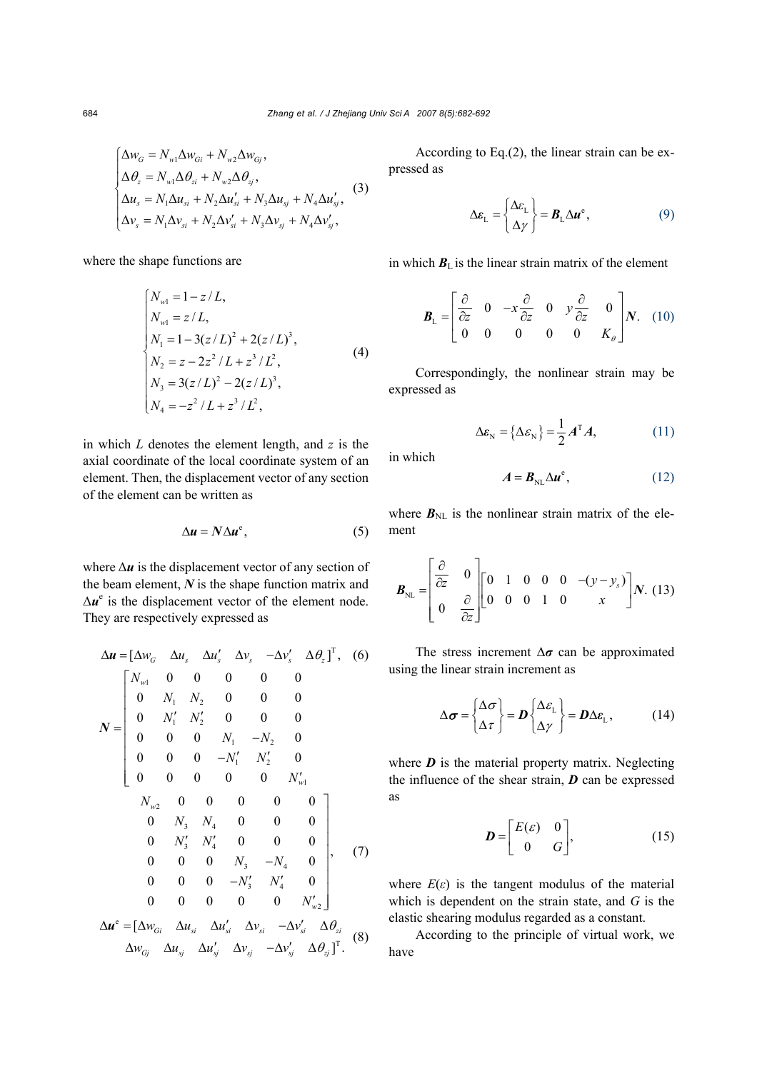$$
\begin{cases}\n\Delta w_G = N_{w1} \Delta w_{Gi} + N_{w2} \Delta w_{Gj}, \\
\Delta \theta_z = N_{w1} \Delta \theta_{zi} + N_{w2} \Delta \theta_{zj}, \\
\Delta u_s = N_1 \Delta u_{si} + N_2 \Delta u'_{si} + N_3 \Delta u_{sj} + N_4 \Delta u'_{sj}, \\
\Delta v_s = N_1 \Delta v_{si} + N_2 \Delta v'_{si} + N_3 \Delta v_{sj} + N_4 \Delta v'_{sj},\n\end{cases}
$$
\n(3)

where the shape functions are

$$
\begin{cases}\nN_{\text{wl}} = 1 - z/L, \\
N_{\text{wl}} = z/L, \\
N_1 = 1 - 3(z/L)^2 + 2(z/L)^3, \\
N_2 = z - 2z^2/L + z^3/L^2, \\
N_3 = 3(z/L)^2 - 2(z/L)^3, \\
N_4 = -z^2/L + z^3/L^2,\n\end{cases} (4)
$$

in which *L* denotes the element length, and *z* is the axial coordinate of the local coordinate system of an element. Then, the displacement vector of any section of the element can be written as

$$
\Delta u = N \Delta u^e, \tag{5}
$$

where ∆*u* is the displacement vector of any section of the beam element, *N* is the shape function matrix and  $\Delta u^e$  is the displacement vector of the element node. They are respectively expressed as

$$
\Delta u = [\Delta w_G \quad \Delta u_s \quad \Delta u'_s \quad \Delta v_s \quad -\Delta v'_s \quad \Delta \theta_z]^{\mathrm{T}}, \quad (6)
$$
  

$$
N = \begin{bmatrix} N_{w1} & 0 & 0 & 0 & 0 & 0 & 0 \\ 0 & N_1 & N_2 & 0 & 0 & 0 & 0 \\ 0 & N_1' & N_2' & 0 & 0 & 0 & 0 \\ 0 & 0 & 0 & N_1 & -N_2 & 0 & 0 \\ 0 & 0 & 0 & -N_1' & N_2' & 0 & 0 \\ 0 & 0 & 0 & 0 & 0 & 0 & N_{w1}' \\ N_{w2} & 0 & 0 & 0 & 0 & 0 & 0 \\ 0 & N_3 & N_4 & 0 & 0 & 0 & 0 \\ 0 & N_3' & N_4' & 0 & 0 & 0 & 0 \\ 0 & 0 & 0 & N_3 & -N_4 & 0 & 0 \\ 0 & 0 & 0 & 0 & N_3' & N_4' & 0 \\ 0 & 0 & 0 & 0 & 0 & N_{w2}' \end{bmatrix}
$$
  

$$
\Delta u^e = [\Delta w_{Gi} \quad \Delta u_{si} \quad \Delta u'_s \quad \Delta v_{si} \quad -\Delta v'_{si} \quad \Delta \theta_{zi} \quad (8)
$$
  

$$
\Delta w_{Gj} \quad \Delta u_{sj} \quad \Delta u'_{sj} \quad \Delta v_{sj} \quad -\Delta v'_{sj} \quad \Delta \theta_{zj}]^{\mathrm{T}}.
$$
 (8)

According to Eq.(2), the linear strain can be expressed as

$$
\Delta \varepsilon_{\mathcal{L}} = \begin{Bmatrix} \Delta \varepsilon_{\mathcal{L}} \\ \Delta \gamma \end{Bmatrix} = \mathbf{B}_{\mathcal{L}} \Delta \mathbf{u}^{\mathbf{e}}, \tag{9}
$$

in which  $B_{\text{L}}$  is the linear strain matrix of the element

$$
\boldsymbol{B}_{\text{L}} = \begin{bmatrix} \frac{\partial}{\partial z} & 0 & -x \frac{\partial}{\partial z} & 0 & y \frac{\partial}{\partial z} & 0 \\ 0 & 0 & 0 & 0 & 0 \\ 0 & 0 & 0 & 0 & K_{\theta} \end{bmatrix} \boldsymbol{N}. \tag{10}
$$

Correspondingly, the nonlinear strain may be expressed as

$$
\Delta \varepsilon_{\rm N} = \left\{ \Delta \varepsilon_{\rm N} \right\} = \frac{1}{2} A^{\rm T} A, \tag{11}
$$

in which

$$
A = B_{\text{NL}} \Delta u^e, \qquad (12)
$$

where  $B_{\text{NL}}$  is the nonlinear strain matrix of the element

$$
\boldsymbol{B}_{\text{NL}} = \begin{bmatrix} \frac{\partial}{\partial z} & 0 \\ 0 & \frac{\partial}{\partial z} \end{bmatrix} \begin{bmatrix} 0 & 1 & 0 & 0 & 0 & -(y - y_s) \\ 0 & 0 & 0 & 1 & 0 & x \end{bmatrix} \boldsymbol{N}. (13)
$$

The stress increment ∆*σ* can be approximated using the linear strain increment as

$$
\Delta \boldsymbol{\sigma} = \begin{Bmatrix} \Delta \boldsymbol{\sigma} \\ \Delta \boldsymbol{\tau} \end{Bmatrix} = \boldsymbol{D} \begin{Bmatrix} \Delta \boldsymbol{\varepsilon}_{\mathrm{L}} \\ \Delta \boldsymbol{\gamma} \end{Bmatrix} = \boldsymbol{D} \Delta \boldsymbol{\varepsilon}_{\mathrm{L}}, \qquad (14)
$$

where  $\boldsymbol{D}$  is the material property matrix. Neglecting the influence of the shear strain, *D* can be expressed as

$$
\boldsymbol{D} = \begin{bmatrix} E(\varepsilon) & 0 \\ 0 & G \end{bmatrix}, \tag{15}
$$

where  $E(\varepsilon)$  is the tangent modulus of the material which is dependent on the strain state, and *G* is the elastic shearing modulus regarded as a constant.

According to the principle of virtual work, we have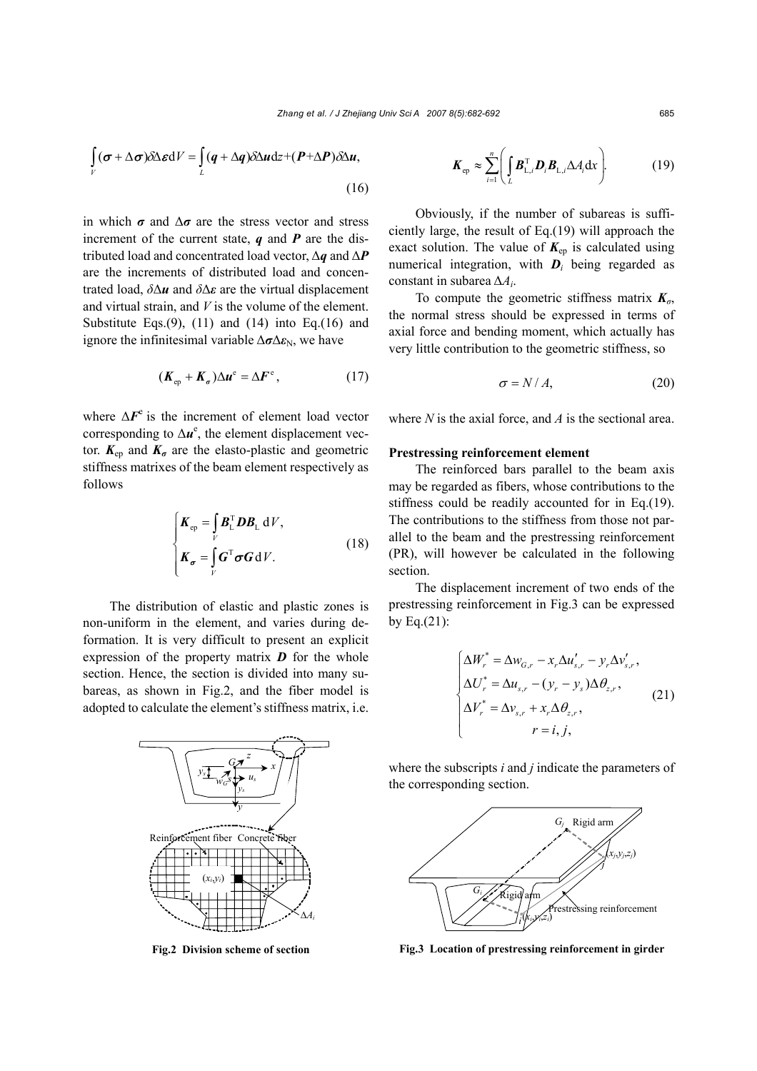$$
\int_{V} (\sigma + \Delta \sigma) \delta \Delta \varepsilon dV = \int_{L} (q + \Delta q) \delta \Delta u dz + (P + \Delta P) \delta \Delta u,
$$
\n(16)

in which  $\sigma$  and  $\Delta \sigma$  are the stress vector and stress increment of the current state, *q* and *P* are the distributed load and concentrated load vector, ∆*q* and ∆*P* are the increments of distributed load and concentrated load, *δ*∆*u* and *δ*∆*ε* are the virtual displacement and virtual strain, and *V* is the volume of the element. Substitute Eqs. $(9)$ ,  $(11)$  and  $(14)$  into Eq. $(16)$  and ignore the infinitesimal variable  $\Delta \sigma \Delta \varepsilon_N$ , we have

$$
(\boldsymbol{K}_{\mathrm{ep}} + \boldsymbol{K}_{\sigma}) \Delta \boldsymbol{u}^{\mathrm{e}} = \Delta \boldsymbol{F}^{\mathrm{e}}, \qquad (17)
$$

where  $\Delta F^e$  is the increment of element load vector corresponding to  $\Delta u^e$ , the element displacement vector.  $K_{ep}$  and  $K_{\sigma}$  are the elasto-plastic and geometric stiffness matrixes of the beam element respectively as follows

$$
\begin{cases}\nK_{\text{ep}} = \int_{V} \boldsymbol{B}_{\text{L}}^{\text{T}} \boldsymbol{D} \boldsymbol{B}_{\text{L}} \, \text{d}V, \\
K_{\sigma} = \int_{V} \boldsymbol{G}^{\text{T}} \boldsymbol{\sigma} \boldsymbol{G} \, \text{d}V.\n\end{cases}
$$
\n(18)

The distribution of elastic and plastic zones is non-uniform in the element, and varies during deformation. It is very difficult to present an explicit expression of the property matrix *D* for the whole section. Hence, the section is divided into many subareas, as shown in Fig.2, and the fiber model is adopted to calculate the element's stiffness matrix, i.e.



**Fig.2 Division scheme of section**

$$
\boldsymbol{K}_{\text{ep}} \approx \sum_{i=1}^{n} \left( \int_{L} \boldsymbol{B}_{\text{L},i}^{\text{T}} \boldsymbol{D}_{i} \boldsymbol{B}_{\text{L},i} \Delta A_{i} \mathrm{d}x \right). \tag{19}
$$

Obviously, if the number of subareas is sufficiently large, the result of Eq.(19) will approach the exact solution. The value of  $K_{ep}$  is calculated using numerical integration, with *Di* being regarded as constant in subarea ∆*Ai*.

To compute the geometric stiffness matrix *Kσ*, the normal stress should be expressed in terms of axial force and bending moment, which actually has very little contribution to the geometric stiffness, so

$$
\sigma = N/A,\tag{20}
$$

where *N* is the axial force, and *A* is the sectional area.

#### **Prestressing reinforcement element**

The reinforced bars parallel to the beam axis may be regarded as fibers, whose contributions to the stiffness could be readily accounted for in Eq.(19). The contributions to the stiffness from those not parallel to the beam and the prestressing reinforcement (PR), will however be calculated in the following section.

The displacement increment of two ends of the prestressing reinforcement in Fig.3 can be expressed by Eq. $(21)$ :

$$
\begin{cases}\n\Delta W_r^* = \Delta w_{G,r} - x_r \Delta u'_{s,r} - y_r \Delta v'_{s,r}, \\
\Delta U_r^* = \Delta u_{s,r} - (y_r - y_s) \Delta \theta_{z,r}, \\
\Delta V_r^* = \Delta v_{s,r} + x_r \Delta \theta_{z,r}, \\
r = i, j,\n\end{cases}
$$
\n(21)

where the subscripts *i* and *j* indicate the parameters of the corresponding section.



**Fig.3 Location of prestressing reinforcement in girder**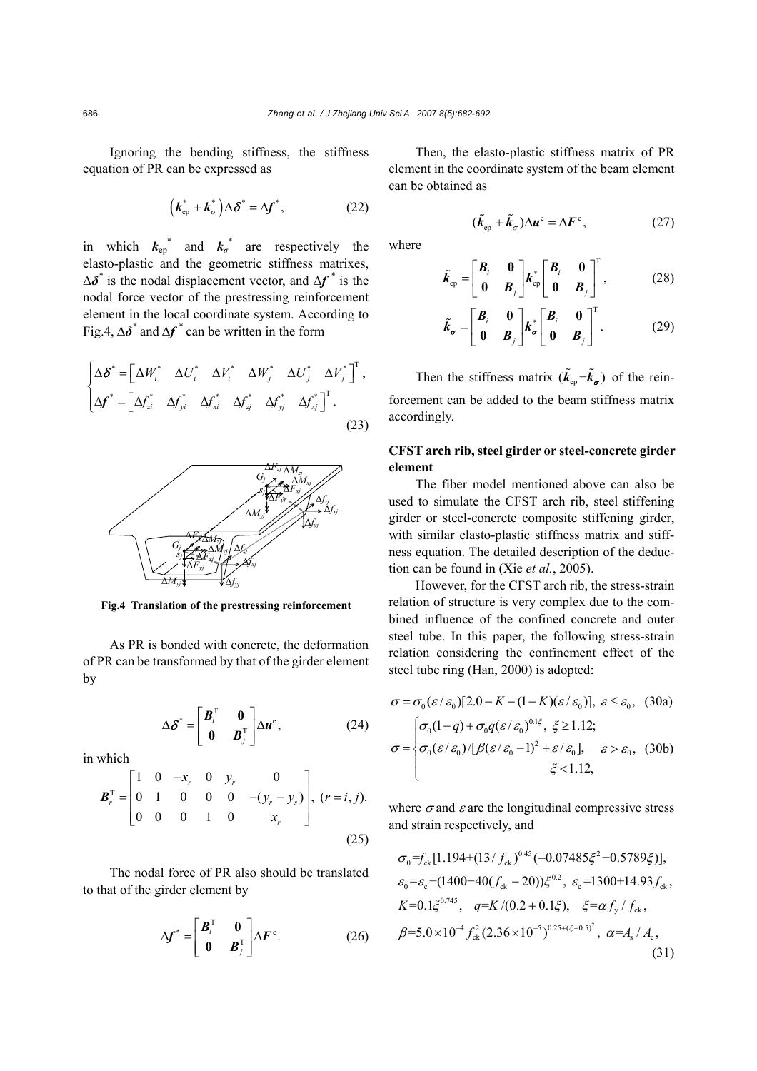Ignoring the bending stiffness, the stiffness equation of PR can be expressed as

$$
\left(\boldsymbol{k}_{ep}^* + \boldsymbol{k}_{\sigma}^*\right) \Delta \boldsymbol{\delta}^* = \Delta \boldsymbol{f}^*,\tag{22}
$$

in which  $k_{ep}^*$  and  $k_{\sigma}^*$  are respectively the elasto-plastic and the geometric stiffness matrixes, ∆*δ\** is the nodal displacement vector, and ∆*f \** is the nodal force vector of the prestressing reinforcement element in the local coordinate system. According to Fig.4, ∆*δ\** and ∆*f \** can be written in the form

$$
\begin{cases}\n\Delta \delta^* = \begin{bmatrix}\n\Delta W_i^* & \Delta U_i^* & \Delta W_j^* & \Delta U_j^* & \Delta U_j^*\n\end{bmatrix}^T, \\
\Delta f^* = \begin{bmatrix}\n\Delta f_{zi}^* & \Delta f_{yi}^* & \Delta f_{xi}^* & \Delta f_{y}^* & \Delta f_{y}^*\n\end{bmatrix}^T.\n\end{cases}
$$
\n(23)



**Fig.4 Translation of the prestressing reinforcement** 

As PR is bonded with concrete, the deformation of PR can be transformed by that of the girder element by

$$
\Delta \delta^* = \begin{bmatrix} \mathbf{B}_i^{\mathrm{T}} & \mathbf{0} \\ \mathbf{0} & \mathbf{B}_j^{\mathrm{T}} \end{bmatrix} \Delta \mathbf{u}^{\mathrm{e}}, \tag{24}
$$

in which

$$
\boldsymbol{B}_r^{\mathrm{T}} = \begin{bmatrix} 1 & 0 & -x_r & 0 & y_r & 0 \\ 0 & 1 & 0 & 0 & 0 & -(y_r - y_s) \\ 0 & 0 & 0 & 1 & 0 & x_r \end{bmatrix}, (r = i, j).
$$
\n(25)

The nodal force of PR also should be translated to that of the girder element by

$$
\Delta \boldsymbol{f}^* = \begin{bmatrix} \boldsymbol{B}_i^{\mathrm{T}} & \boldsymbol{0} \\ \boldsymbol{0} & \boldsymbol{B}_j^{\mathrm{T}} \end{bmatrix} \Delta \boldsymbol{F}^{\mathrm{e}}.
$$
 (26)

Then, the elasto-plastic stiffness matrix of PR element in the coordinate system of the beam element can be obtained as

$$
(\tilde{k}_{\rm ep} + \tilde{k}_{\sigma}) \Delta u^{\rm e} = \Delta F^{\rm e}, \qquad (27)
$$

where

$$
\tilde{k}_{\rm ep} = \begin{bmatrix} B_i & 0 \\ 0 & B_j \end{bmatrix} k_{\rm ep}^* \begin{bmatrix} B_i & 0 \\ 0 & B_j \end{bmatrix}^{\rm T}, \qquad (28)
$$

$$
\tilde{k}_{\sigma} = \begin{bmatrix} B_i & 0 \\ 0 & B_j \end{bmatrix} k_{\sigma}^* \begin{bmatrix} B_i & 0 \\ 0 & B_j \end{bmatrix}^{\mathrm{T}}.
$$
 (29)

Then the stiffness matrix  $(\tilde{k}_{e} + \tilde{k}_{\sigma})$  of the reinforcement can be added to the beam stiffness matrix accordingly.

# **CFST arch rib, steel girder or steel-concrete girder element**

The fiber model mentioned above can also be used to simulate the CFST arch rib, steel stiffening girder or steel-concrete composite stiffening girder, with similar elasto-plastic stiffness matrix and stiffness equation. The detailed description of the deduction can be found in (Xie *et al.*, 2005).

However, for the CFST arch rib, the stress-strain relation of structure is very complex due to the combined influence of the confined concrete and outer steel tube. In this paper, the following stress-strain relation considering the confinement effect of the steel tube ring (Han, 2000) is adopted:

$$
\sigma = \sigma_0(\varepsilon/\varepsilon_0)[2.0 - K - (1 - K)(\varepsilon/\varepsilon_0)], \ \varepsilon \le \varepsilon_0, \quad (30a)
$$

$$
\sigma = \begin{cases} \sigma_0(1 - q) + \sigma_0 q(\varepsilon/\varepsilon_0)^{0.1\xi}, \ \xi \ge 1.12; \\ \sigma_0(\varepsilon/\varepsilon_0) / [\beta(\varepsilon/\varepsilon_0 - 1)^2 + \varepsilon/\varepsilon_0], \quad \varepsilon > \varepsilon_0, \quad (30b) \\ \xi < 1.12, \end{cases}
$$

where  $\sigma$  and  $\varepsilon$  are the longitudinal compressive stress and strain respectively, and

$$
\sigma_0 = f_{ck} [1.194 + (13/f_{ck})^{0.45} (-0.07485\xi^2 + 0.5789\xi)],
$$
\n
$$
\varepsilon_0 = \varepsilon_c + (1400 + 40(f_{ck} - 20))\xi^{0.2}, \quad \varepsilon_c = 1300 + 14.93f_{ck},
$$
\n
$$
K = 0.1\xi^{0.745}, \quad q = K/(0.2 + 0.1\xi), \quad \xi = \alpha f_y/f_{ck},
$$
\n
$$
\beta = 5.0 \times 10^{-4} f_{ck}^2 (2.36 \times 10^{-5})^{0.25 + (\xi - 0.5)^7}, \quad \alpha = A_s / A_c,
$$
\n(31)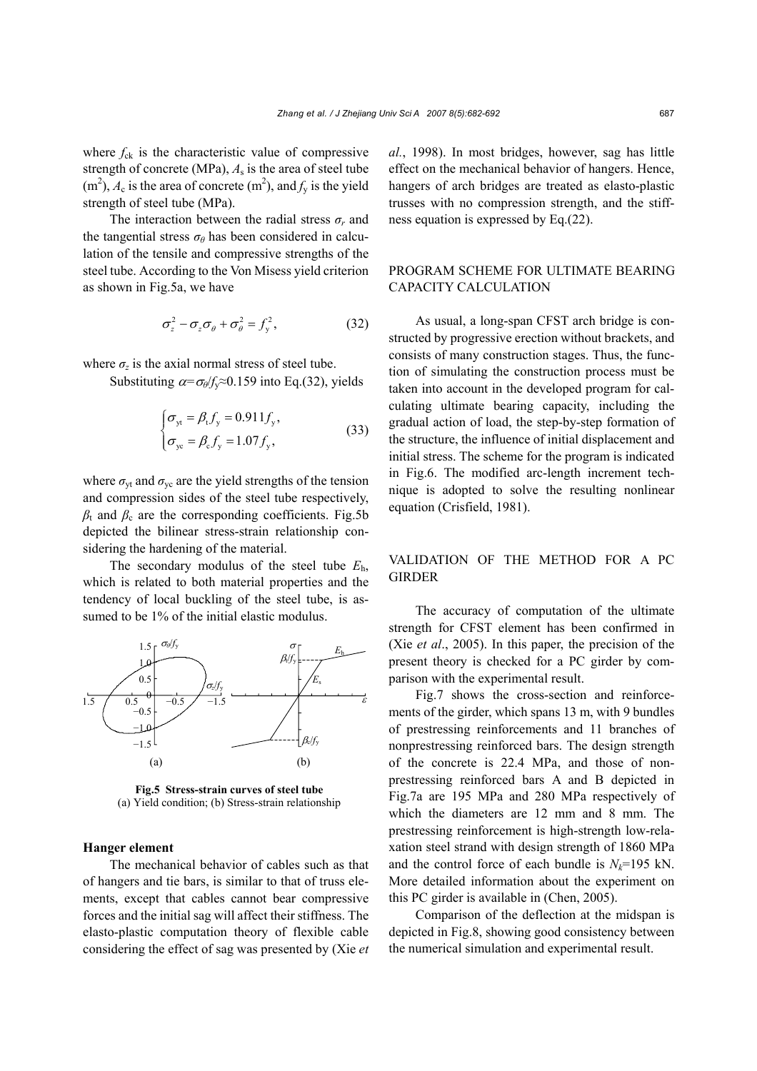where  $f_{ck}$  is the characteristic value of compressive strength of concrete (MPa),  $A_s$  is the area of steel tube  $(m<sup>2</sup>)$ ,  $A_c$  is the area of concrete  $(m<sup>2</sup>)$ , and  $f_y$  is the yield strength of steel tube (MPa).

The interaction between the radial stress  $\sigma_r$  and the tangential stress  $\sigma_{\theta}$  has been considered in calculation of the tensile and compressive strengths of the steel tube. According to the Von Misess yield criterion as shown in Fig.5a, we have

$$
\sigma_z^2 - \sigma_z \sigma_\theta + \sigma_\theta^2 = f_y^2, \qquad (32)
$$

where  $\sigma_z$  is the axial normal stress of steel tube.

Substituting  $\alpha = \sigma_\theta / f_\nu \approx 0.159$  into Eq.(32), yields

$$
\begin{cases}\n\sigma_{\text{yt}} = \beta_{\text{t}} f_{\text{y}} = 0.911 f_{\text{y}}, \\
\sigma_{\text{ye}} = \beta_{\text{c}} f_{\text{y}} = 1.07 f_{\text{y}},\n\end{cases} \tag{33}
$$

where  $\sigma_{\rm vt}$  and  $\sigma_{\rm vc}$  are the yield strengths of the tension and compression sides of the steel tube respectively,  $\beta$ <sub>t</sub> and  $\beta$ <sub>c</sub> are the corresponding coefficients. Fig.5b depicted the bilinear stress-strain relationship considering the hardening of the material.

The secondary modulus of the steel tube *E*h, which is related to both material properties and the tendency of local buckling of the steel tube, is assumed to be 1% of the initial elastic modulus.



**Fig.5 Stress-strain curves of steel tube**  (a) Yield condition; (b) Stress-strain relationship

#### **Hanger element**

The mechanical behavior of cables such as that of hangers and tie bars, is similar to that of truss elements, except that cables cannot bear compressive forces and the initial sag will affect their stiffness. The elasto-plastic computation theory of flexible cable considering the effect of sag was presented by (Xie *et*  *al.*, 1998). In most bridges, however, sag has little effect on the mechanical behavior of hangers. Hence, hangers of arch bridges are treated as elasto-plastic trusses with no compression strength, and the stiffness equation is expressed by Eq.(22).

## PROGRAM SCHEME FOR ULTIMATE BEARING CAPACITY CALCULATION

As usual, a long-span CFST arch bridge is constructed by progressive erection without brackets, and consists of many construction stages. Thus, the function of simulating the construction process must be taken into account in the developed program for calculating ultimate bearing capacity, including the gradual action of load, the step-by-step formation of the structure, the influence of initial displacement and initial stress. The scheme for the program is indicated in Fig.6. The modified arc-length increment technique is adopted to solve the resulting nonlinear equation (Crisfield, 1981).

## VALIDATION OF THE METHOD FOR A PC GIRDER

The accuracy of computation of the ultimate strength for CFST element has been confirmed in (Xie *et al*., 2005). In this paper, the precision of the present theory is checked for a PC girder by comparison with the experimental result.

Fig.7 shows the cross-section and reinforcements of the girder, which spans 13 m, with 9 bundles of prestressing reinforcements and 11 branches of nonprestressing reinforced bars. The design strength of the concrete is 22.4 MPa, and those of nonprestressing reinforced bars A and B depicted in Fig.7a are 195 MPa and 280 MPa respectively of which the diameters are 12 mm and 8 mm. The prestressing reinforcement is high-strength low-relaxation steel strand with design strength of 1860 MPa and the control force of each bundle is  $N_k$ =195 kN. More detailed information about the experiment on this PC girder is available in (Chen, 2005).

Comparison of the deflection at the midspan is depicted in Fig.8, showing good consistency between the numerical simulation and experimental result.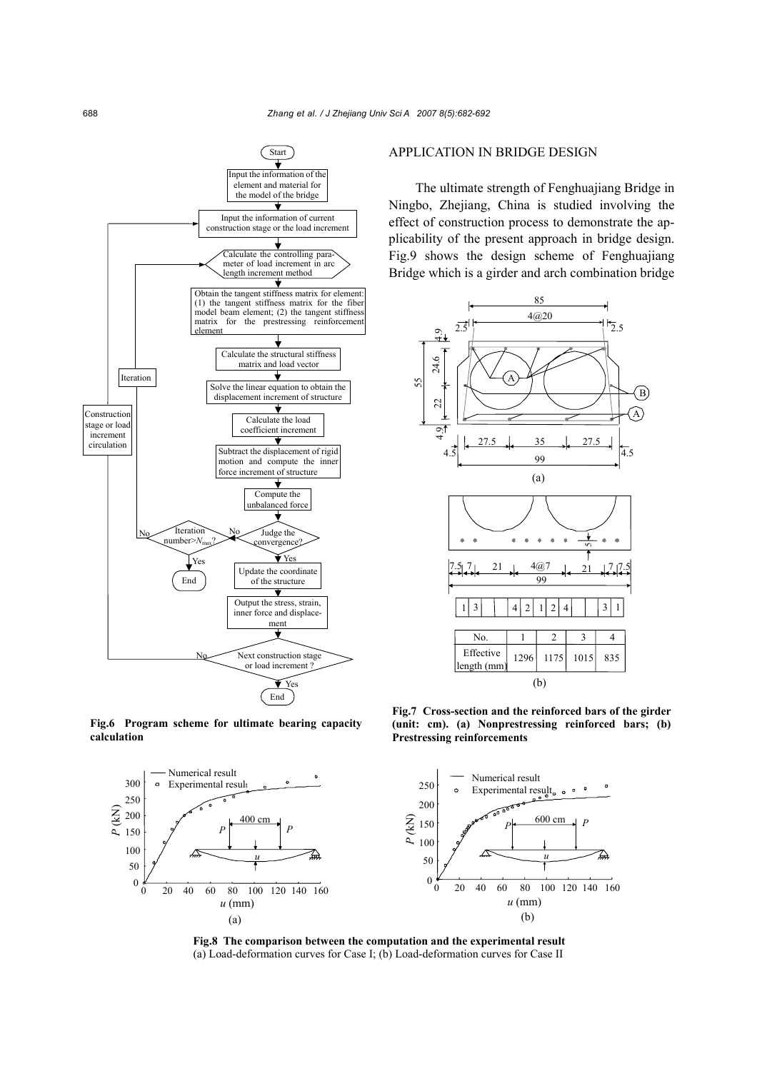

**Fig.6 Program scheme for ultimate bearing capacity calculation**



## APPLICATION IN BRIDGE DESIGN

The ultimate strength of Fenghuajiang Bridge in Ningbo, Zhejiang, China is studied involving the effect of construction process to demonstrate the applicability of the present approach in bridge design. Fig.9 shows the design scheme of Fenghuajiang Bridge which is a girder and arch combination bridge



**Fig.7 Cross-section and the reinforced bars of the girder (unit: cm). (a) Nonprestressing reinforced bars; (b) Prestressing reinforcements** 



**Fig.8 The comparison between the computation and the experimental result**  (a) Load-deformation curves for Case I; (b) Load-deformation curves for Case II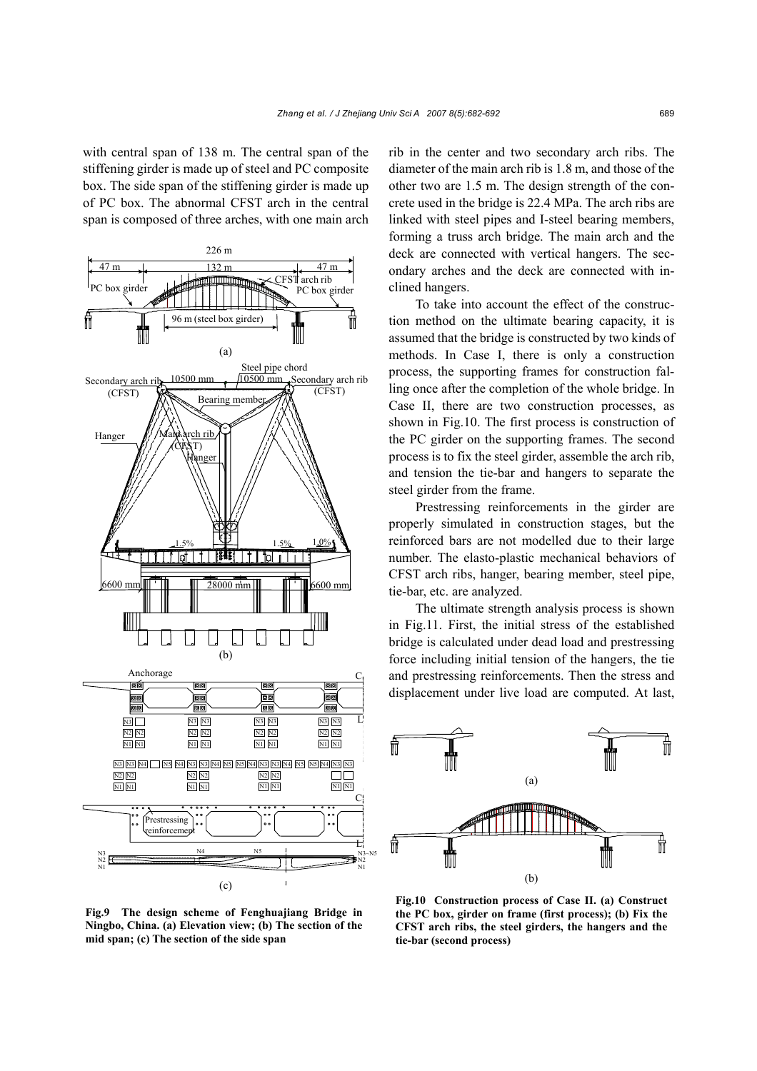with central span of 138 m. The central span of the stiffening girder is made up of steel and PC composite box. The side span of the stiffening girder is made up of PC box. The abnormal CFST arch in the central span is composed of three arches, with one main arch



rib in the center and two secondary arch ribs. The diameter of the main arch rib is 1.8 m, and those of the other two are 1.5 m. The design strength of the concrete used in the bridge is 22.4 MPa. The arch ribs are linked with steel pipes and I-steel bearing members, forming a truss arch bridge. The main arch and the deck are connected with vertical hangers. The secondary arches and the deck are connected with inclined hangers.

To take into account the effect of the construction method on the ultimate bearing capacity, it is assumed that the bridge is constructed by two kinds of methods. In Case I, there is only a construction process, the supporting frames for construction falling once after the completion of the whole bridge. In Case II, there are two construction processes, as shown in Fig.10. The first process is construction of the PC girder on the supporting frames. The second process is to fix the steel girder, assemble the arch rib, and tension the tie-bar and hangers to separate the steel girder from the frame.

Prestressing reinforcements in the girder are properly simulated in construction stages, but the reinforced bars are not modelled due to their large number. The elasto-plastic mechanical behaviors of CFST arch ribs, hanger, bearing member, steel pipe, tie-bar, etc. are analyzed.

The ultimate strength analysis process is shown in Fig.11. First, the initial stress of the established bridge is calculated under dead load and prestressing force including initial tension of the hangers, the tie and prestressing reinforcements. Then the stress and displacement under live load are computed. At last,



**Fig.9 The design scheme of Fenghuajiang Bridge in Ningbo, China. (a) Elevation view; (b) The section of the mid span; (c) The section of the side span**

**Fig.10 Construction process of Case II. (a) Construct the PC box, girder on frame (first process); (b) Fix the CFST arch ribs, the steel girders, the hangers and the tie-bar (second process)**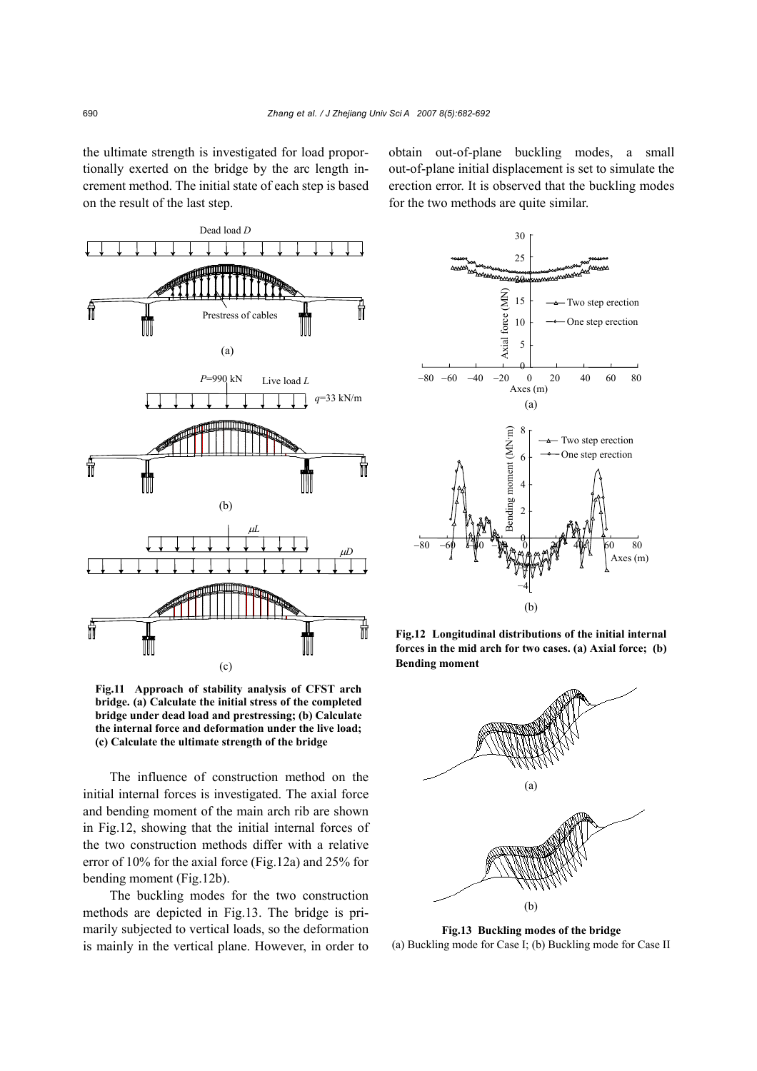the ultimate strength is investigated for load proportionally exerted on the bridge by the arc length increment method. The initial state of each step is based on the result of the last step.



**Fig.11 Approach of stability analysis of CFST arch bridge. (a) Calculate the initial stress of the completed bridge under dead load and prestressing; (b) Calculate the internal force and deformation under the live load; (c) Calculate the ultimate strength of the bridge**

The influence of construction method on the initial internal forces is investigated. The axial force and bending moment of the main arch rib are shown in Fig.12, showing that the initial internal forces of the two construction methods differ with a relative error of 10% for the axial force (Fig.12a) and 25% for bending moment (Fig.12b).

The buckling modes for the two construction methods are depicted in Fig.13. The bridge is primarily subjected to vertical loads, so the deformation is mainly in the vertical plane. However, in order to

obtain out-of-plane buckling modes, a small out-of-plane initial displacement is set to simulate the erection error. It is observed that the buckling modes for the two methods are quite similar.



**Fig.12 Longitudinal distributions of the initial internal forces in the mid arch for two cases. (a) Axial force; (b) Bending moment**



**Fig.13 Buckling modes of the bridge**  (a) Buckling mode for Case I; (b) Buckling mode for Case II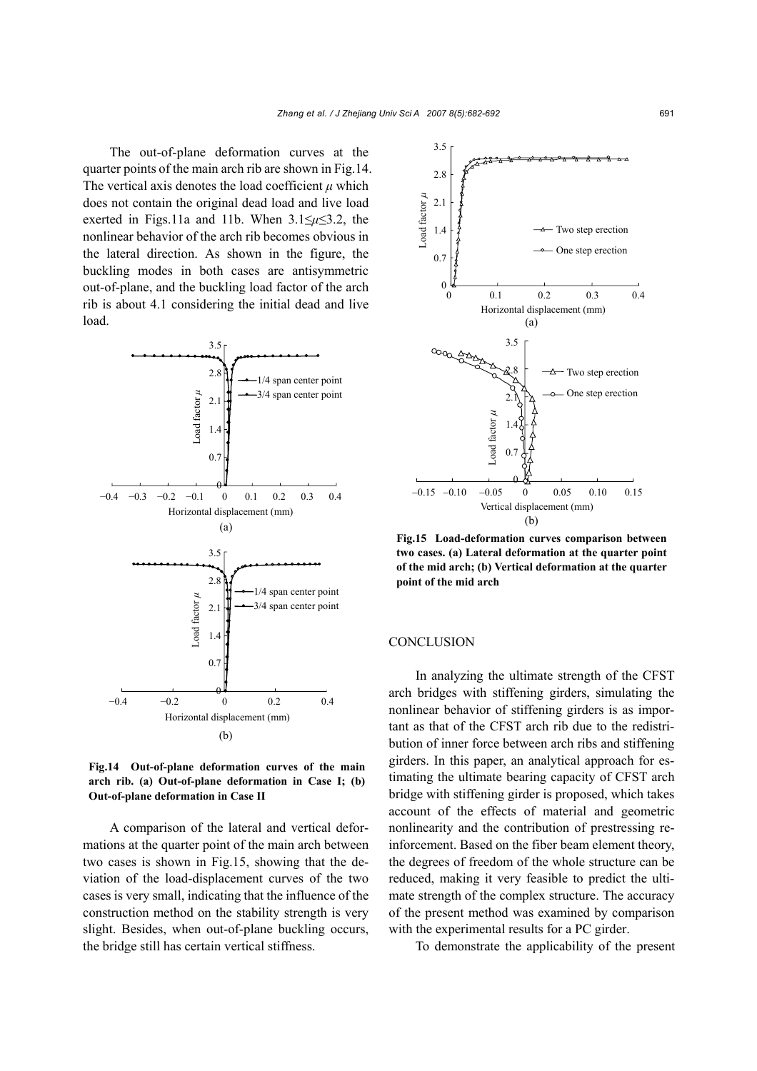The out-of-plane deformation curves at the quarter points of the main arch rib are shown in Fig.14. The vertical axis denotes the load coefficient  $\mu$  which does not contain the original dead load and live load exerted in Figs.11a and 11b. When 3.1≤*µ*≤3.2, the nonlinear behavior of the arch rib becomes obvious in the lateral direction. As shown in the figure, the buckling modes in both cases are antisymmetric out-of-plane, and the buckling load factor of the arch rib is about 4.1 considering the initial dead and live load.



**Fig.14 Out-of-plane deformation curves of the main arch rib. (a) Out-of-plane deformation in Case I; (b) Out-of-plane deformation in Case II**

A comparison of the lateral and vertical deformations at the quarter point of the main arch between two cases is shown in Fig.15, showing that the deviation of the load-displacement curves of the two cases is very small, indicating that the influence of the construction method on the stability strength is very slight. Besides, when out-of-plane buckling occurs, the bridge still has certain vertical stiffness.



**Fig.15 Load-deformation curves comparison between two cases. (a) Lateral deformation at the quarter point of the mid arch; (b) Vertical deformation at the quarter point of the mid arch**

#### **CONCLUSION**

In analyzing the ultimate strength of the CFST arch bridges with stiffening girders, simulating the nonlinear behavior of stiffening girders is as important as that of the CFST arch rib due to the redistribution of inner force between arch ribs and stiffening girders. In this paper, an analytical approach for estimating the ultimate bearing capacity of CFST arch bridge with stiffening girder is proposed, which takes account of the effects of material and geometric nonlinearity and the contribution of prestressing reinforcement. Based on the fiber beam element theory, the degrees of freedom of the whole structure can be reduced, making it very feasible to predict the ultimate strength of the complex structure. The accuracy of the present method was examined by comparison with the experimental results for a PC girder.

To demonstrate the applicability of the present